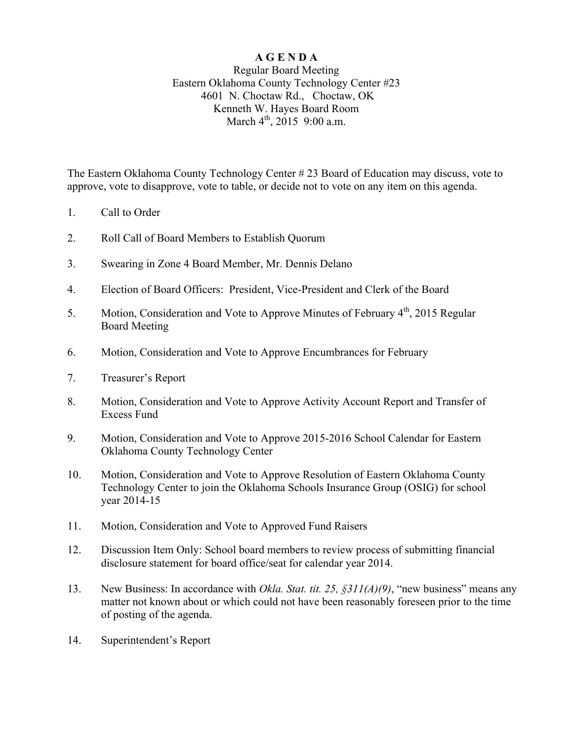## **A G E N D A**

## Regular Board Meeting Eastern Oklahoma County Technology Center #23 4601 N. Choctaw Rd., Choctaw, OK Kenneth W. Hayes Board Room March  $4^{th}$ , 2015 9:00 a.m.

The Eastern Oklahoma County Technology Center # 23 Board of Education may discuss, vote to approve, vote to disapprove, vote to table, or decide not to vote on any item on this agenda.

- 1. Call to Order
- 2. Roll Call of Board Members to Establish Quorum
- 3. Swearing in Zone 4 Board Member, Mr. Dennis Delano
- 4. Election of Board Officers: President, Vice-President and Clerk of the Board
- 5. Motion, Consideration and Vote to Approve Minutes of February 4<sup>th</sup>, 2015 Regular Board Meeting
- 6. Motion, Consideration and Vote to Approve Encumbrances for February
- 7. Treasurer's Report
- 8. Motion, Consideration and Vote to Approve Activity Account Report and Transfer of Excess Fund
- 9. Motion, Consideration and Vote to Approve 2015-2016 School Calendar for Eastern Oklahoma County Technology Center
- 10. Motion, Consideration and Vote to Approve Resolution of Eastern Oklahoma County Technology Center to join the Oklahoma Schools Insurance Group (OSIG) for school year 2014-15
- 11. Motion, Consideration and Vote to Approved Fund Raisers
- 12. Discussion Item Only: School board members to review process of submitting financial disclosure statement for board office/seat for calendar year 2014.
- 13. New Business: In accordance with *Okla. Stat. tit. 25, §311(A)(9)*, "new business" means any matter not known about or which could not have been reasonably foreseen prior to the time of posting of the agenda.
- 14. Superintendent's Report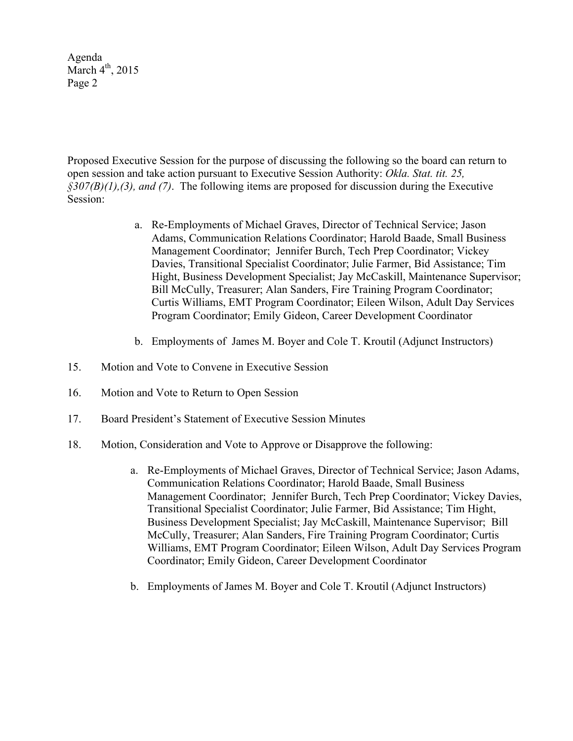Agenda March  $4<sup>th</sup>$ , 2015 Page 2

Proposed Executive Session for the purpose of discussing the following so the board can return to open session and take action pursuant to Executive Session Authority: *Okla. Stat. tit. 25, §307(B)(1),(3), and (7)*. The following items are proposed for discussion during the Executive Session:

- a. Re-Employments of Michael Graves, Director of Technical Service; Jason Adams, Communication Relations Coordinator; Harold Baade, Small Business Management Coordinator; Jennifer Burch, Tech Prep Coordinator; Vickey Davies, Transitional Specialist Coordinator; Julie Farmer, Bid Assistance; Tim Hight, Business Development Specialist; Jay McCaskill, Maintenance Supervisor; Bill McCully, Treasurer; Alan Sanders, Fire Training Program Coordinator; Curtis Williams, EMT Program Coordinator; Eileen Wilson, Adult Day Services Program Coordinator; Emily Gideon, Career Development Coordinator
- b. Employments of James M. Boyer and Cole T. Kroutil (Adjunct Instructors)
- 15. Motion and Vote to Convene in Executive Session
- 16. Motion and Vote to Return to Open Session
- 17. Board President's Statement of Executive Session Minutes
- 18. Motion, Consideration and Vote to Approve or Disapprove the following:
	- a. Re-Employments of Michael Graves, Director of Technical Service; Jason Adams, Communication Relations Coordinator; Harold Baade, Small Business Management Coordinator; Jennifer Burch, Tech Prep Coordinator; Vickey Davies, Transitional Specialist Coordinator; Julie Farmer, Bid Assistance; Tim Hight, Business Development Specialist; Jay McCaskill, Maintenance Supervisor; Bill McCully, Treasurer; Alan Sanders, Fire Training Program Coordinator; Curtis Williams, EMT Program Coordinator; Eileen Wilson, Adult Day Services Program Coordinator; Emily Gideon, Career Development Coordinator
	- b. Employments of James M. Boyer and Cole T. Kroutil (Adjunct Instructors)